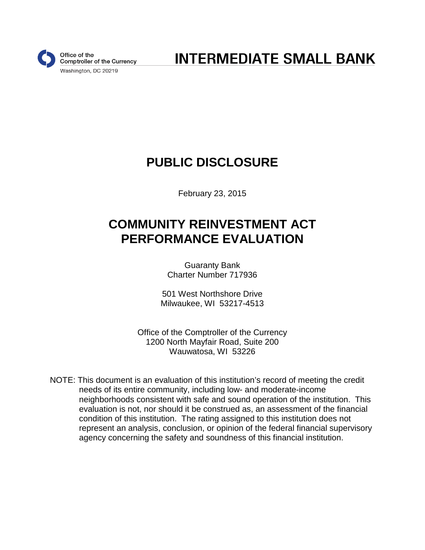

**INTERMEDIATE SMALL BANK** 

# **PUBLIC DISCLOSURE**

February 23, 2015

# **COMMUNITY REINVESTMENT ACT PERFORMANCE EVALUATION**

Guaranty Bank Charter Number 717936

501 West Northshore Drive Milwaukee, WI 53217-4513

Office of the Comptroller of the Currency 1200 North Mayfair Road, Suite 200 Wauwatosa, WI 53226

NOTE: This document is an evaluation of this institution's record of meeting the credit needs of its entire community, including low- and moderate-income neighborhoods consistent with safe and sound operation of the institution. This evaluation is not, nor should it be construed as, an assessment of the financial condition of this institution. The rating assigned to this institution does not represent an analysis, conclusion, or opinion of the federal financial supervisory agency concerning the safety and soundness of this financial institution.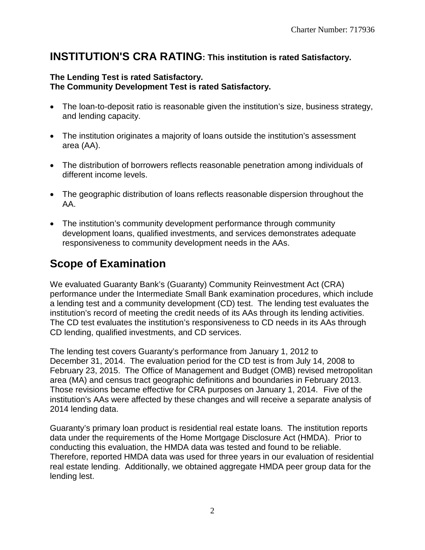## **INSTITUTION'S CRA RATING: This institution is rated Satisfactory.**

#### **The Lending Test is rated Satisfactory. The Community Development Test is rated Satisfactory.**

- The loan-to-deposit ratio is reasonable given the institution's size, business strategy, and lending capacity.
- The institution originates a majority of loans outside the institution's assessment area (AA).
- The distribution of borrowers reflects reasonable penetration among individuals of different income levels.
- The geographic distribution of loans reflects reasonable dispersion throughout the AA.
- The institution's community development performance through community development loans, qualified investments, and services demonstrates adequate responsiveness to community development needs in the AAs.

## **Scope of Examination**

We evaluated Guaranty Bank's (Guaranty) Community Reinvestment Act (CRA) performance under the Intermediate Small Bank examination procedures, which include a lending test and a community development (CD) test. The lending test evaluates the institution's record of meeting the credit needs of its AAs through its lending activities. The CD test evaluates the institution's responsiveness to CD needs in its AAs through CD lending, qualified investments, and CD services.

The lending test covers Guaranty's performance from January 1, 2012 to December 31, 2014. The evaluation period for the CD test is from July 14, 2008 to February 23, 2015. The Office of Management and Budget (OMB) revised metropolitan area (MA) and census tract geographic definitions and boundaries in February 2013. Those revisions became effective for CRA purposes on January 1, 2014. Five of the institution's AAs were affected by these changes and will receive a separate analysis of 2014 lending data.

Guaranty's primary loan product is residential real estate loans. The institution reports data under the requirements of the Home Mortgage Disclosure Act (HMDA). Prior to conducting this evaluation, the HMDA data was tested and found to be reliable. Therefore, reported HMDA data was used for three years in our evaluation of residential real estate lending. Additionally, we obtained aggregate HMDA peer group data for the lending lest.